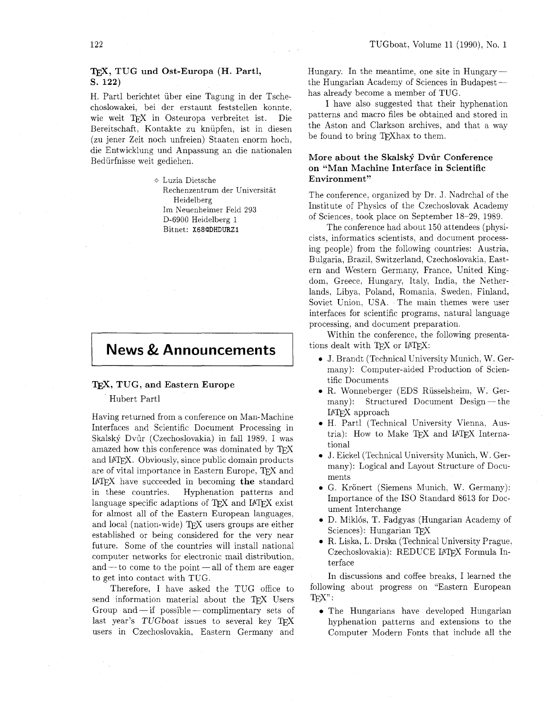## **TEX, TUG und Ost-Europa (H. Partl, s. 122)**

H. Partl berichtet iiber eine Tagung in der Tschechoslowakei, bei der erstaunt feststellen konnte. wie weit TEX in Osteuropa verbreitet ist. Die Bereitschaft, Kontakte zu kniipfen, ist in diesen (zu jener Zeit noch unfreien) Staaten enorm hoch. die Entwicklung und Anpassung an die nationalen Bediirfnisse weit gediehen.

> **o** Luzia Dietsche Rechenzentrum der Universitat Heidelberg Im Neuenheimer Feld 293 D-6900 Heidelberg 1 Bitnet: **X68@DHDURZ1**

# **News** & **Announcements**

# TEX, TUG, and Eastern Europe

Hubert Partl

Having returned from a conference on Man-Machine Interfaces and Scientific Document Processing in Skalský Dvůr (Czechoslovakia) in fall 1989, I was amazed how this conference was dominated by TEX and IATEX. Obviously, since public domain products and B-1<sub>EA</sub>: Obviously, since public domain products<br>are of vital importance in Eastern Europe, T<sub>E</sub>X and<br>IAT<sub>E</sub>X have succeeded in becoming **the** standard in these countries. Hyphenation patterns and language specific adaptions of TFX and I4TFX exist for almost all of the Eastern European languages, and local (nation-wide) T<sub>F</sub>X users groups are either established or being considered for the very near future. Some of the countries will install national computer networks for electronic mail distribution, and  $-$  to come to the point  $-$  all of them are eager to get into contact with TUG.

Therefore. I have asked the TUG office to send information material about the TFX Users Group and  $\text{--}$  if possible  $\text{--}$  complimentary sets of last year's TUGboat issues to several key TFX users in Czechoslovakia, Eastern Germany and

Hungary. In the meantime, one site in Hungary -Hungary. In the meantime, one site in Hungary --<br>the Hungarian Academy of Sciences in Budapest -has already become a member of TUG.

I have also suggested that their hyphenation patterns and macro files be obtained and stored in the Aston and Clarkson archives, and that a way be found to bring TFXhax to them.

# More about the Skalský Dvůr Conference **on "Man Machine Interface in Scientific Environment"**

The conference. organized by Dr. J. Nadrchal of the Institute of Physics of the Czechoslovak Academy of Sciences, took place on September 18-29. 1989.

The conference had about 150 attendees (physicists, informatics scientists. and document processing people) from the following countries: Austria, Bulgaria, Brazil, Switzerland, Czechoslovakia, Eastern and Western Germany. France, United Kingdom. Greece, Hungary. Italy, India, the Netherlands, Libya, Poland, Romania, Sweden. Finland, Soviet Union. USA. The main themes were user interfaces for scientific programs, natural language processing, and document preparation.

Within the conference, the following presentations dealt with TEX or LATEX:

- J. Brandt (Technical University Munich, W. Germany): Computer-aided Production of Scientific Documents
- R. Wonneberger (EDS Riisselsheim, W. Germany): Structured Document Design - the I<sup>A</sup>T<sub>F</sub>X approach
- H. Partl (Technical University Vienna, Austria): How to Make TEX and IATEX International
- J. Eickel (Technical University Munich, W. Germany): Logical and Layout Structure of Documents
- G. Krönert (Siemens Munich, W. Germany): Importance of the IS0 Standard 8613 for Document Interchange
- D. Miklós, T. Fadgyas (Hungarian Academy of Sciences): Hungarian TFX
- R. Liska. L. Drska (Technical University Prague, Czechoslovakia): REDUCE LATEX Formula Interface

In discussions and coffee breaks, I learned the following about progress on "Eastern European  $TFX$ :

The Hungarians have developed Hungarian hyphenation patterns and extensions to the Computer Modern Fonts that include all the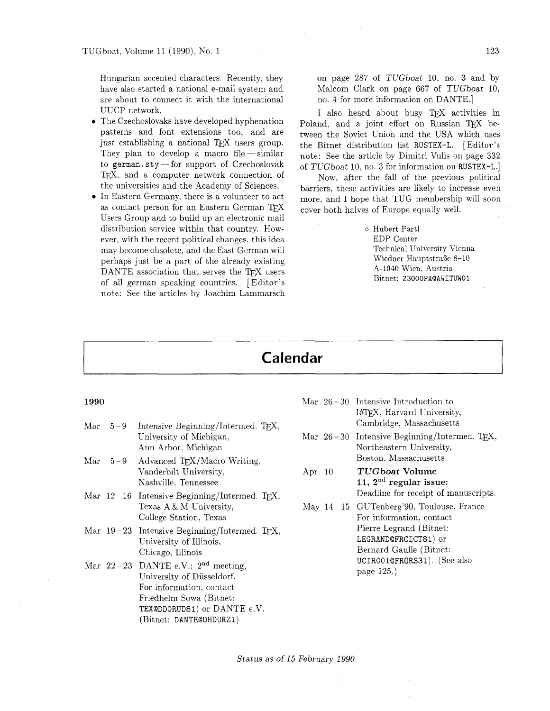Hungarian accented characters. Recently, they have also started a national e-mail system and are about to connect it with the international UUCP network.

• The Czechoslovaks have developed hyphenation patterns and font extensions too. and are just establishing a national TEX users group. They plan to develop a macro file $-\sin$ ilar just establishing a national I<sub>E</sub>X users group.<br>They plan to develop a macro file—similar<br>to german.sty—for support of Czechoslovak TEX. and a computer network connection of the universities and the Academy of Sciences.

In Eastern Germany, there is a volunteer to act as contact person for an Eastern German TFX Users Group and to build up an electronic mail distribution service within that country. However, with the recent political changes. this idea may become obsolete, and the East German will perhaps just be a part of the already existing DANTE association that serves the T<sub>E</sub>X users of all german speaking countries. [Editor's note: See the articles by Joachim Lammarsch on page 287 of TUGboat 10, no. **3** and by Malcom Clark on page 667 of TUGboat 10, no. 4 for more information on DANTE.]

I also heard about busy TFX activities in Poland, and a joint effort on Russian TFX between the Soviet Union and the USA which uses the Bitnet distribution list RUSTEX-L. [Editor's note: See the article by Dimitri Vulis on page 332 of TUGboat 10, no. 3 for information on RUSTEX-L.]

Now. after the fall of the previous political barriers. these activities are likely to increase even more. and I hope that TUG membership will soon cover both halves of Europe equally well.

> o Hubert Part1 EDP Center Technical University Vienna Wiedner HauptstraBe 8-10 A-1040 Wien, Austria Bitnet: **Z3000PAQAWITUW01**

| Calendar             |                                                                                                |                                                                                                                                                                                      |          |  |                                                                                                              |
|----------------------|------------------------------------------------------------------------------------------------|--------------------------------------------------------------------------------------------------------------------------------------------------------------------------------------|----------|--|--------------------------------------------------------------------------------------------------------------|
|                      |                                                                                                |                                                                                                                                                                                      |          |  |                                                                                                              |
| 1990<br>$_{\rm Mar}$ | $5 - 9$                                                                                        | Intensive Beginning/Intermed. TEX,                                                                                                                                                   |          |  | Mar 26-30 Intensive Introduction to<br>IATEX, Harvard University,<br>Cambridge, Massachusetts                |
|                      |                                                                                                | University of Michigan,<br>Ann Arbor, Michigan                                                                                                                                       |          |  | Mar 26-30 Intensive Beginning/Intermed. TEX,<br>Northeastern University,                                     |
| $\operatorname{Mar}$ | $5 - 9$                                                                                        | Advanced TEX/Macro Writing,<br>Vanderbilt University,<br>Nashville, Tennessee                                                                                                        | Apr $10$ |  | Boston, Massachusetts<br>TUGboat Volume<br>11, $2nd$ regular issue:                                          |
|                      |                                                                                                | Mar $12-16$ Intensive Beginning/Intermed. TEX,<br>Texas A & M University,<br>College Station, Texas                                                                                  |          |  | Deadline for receipt of manuscripts.<br>May 14-15 GUTenberg'90, Toulouse, France<br>For information, contact |
|                      | Mar $19-23$ Intensive Beginning/Intermed. TEX,<br>University of Illinois,<br>Chicago, Illinois | Pierre Legrand (Bitnet:<br>LEGRAND@FRCICT81) or<br>Bernard Gaulle (Bitnet:                                                                                                           |          |  |                                                                                                              |
|                      |                                                                                                | Mar $22-23$ DANTE e.V.: $2nd$ meeting,<br>University of Düsseldorf.<br>For information, contact<br>Friedhelm Sowa (Bitnet:<br>TEX@DDORUD81) or DANTE e.V.<br>(Bitnet: DANTE@DHDURZ1) |          |  | UCIRO01@FRORS31). (See also<br>page 125.)                                                                    |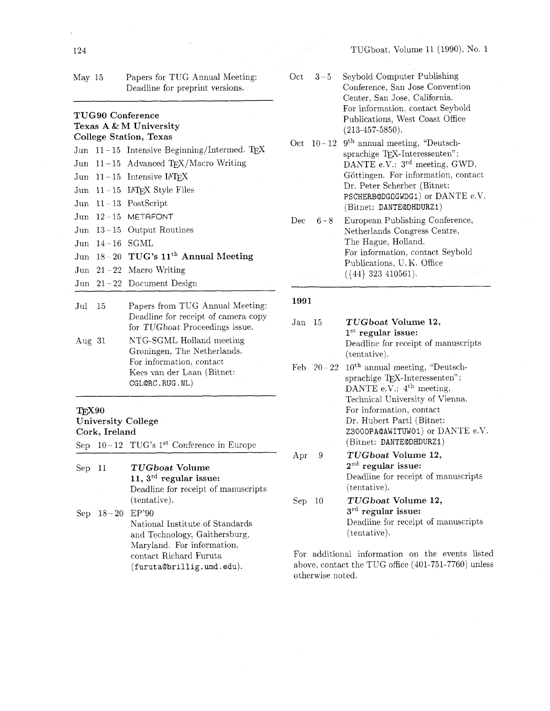| May 15                 |               | Papers for TUG Annual Meeting:<br>Deadline for preprint versions.                                                                   |
|------------------------|---------------|-------------------------------------------------------------------------------------------------------------------------------------|
|                        |               | TUG90 Conference<br>Texas A & M University<br>College Station, Texas                                                                |
| $_{\mathrm{Jun}}$      | $11 - 15$     | Intensive Beginning/Intermed. TEX                                                                                                   |
| $_{\mathrm{Jun}}$      | $11 - 15$     | Advanced TEX/Macro Writing                                                                                                          |
| Jun                    | $11 - 15$     | Intensive IAT <sub>F</sub> X                                                                                                        |
|                        | $Jun 11-15$   | IATEX Style Files                                                                                                                   |
| Jun                    | $11 - 13$     | PostScript                                                                                                                          |
| $_{\mathrm{Jun}}$      | $12 - 15$     | METAFONT                                                                                                                            |
| $_{\rm Jun}$           | $13 - 15$     | Output Routines                                                                                                                     |
| Jun                    |               | $14-16$ SGML                                                                                                                        |
| Jun                    | $18 - 20$     | TUG's 11 <sup>th</sup> Annual Meeting                                                                                               |
| $_{\text{Jun}}$        | $21 - 22$     | Macro Writing                                                                                                                       |
| $_{\mathrm{Jun}}$      | $21 - 22$     | Document Design                                                                                                                     |
| Jul                    | 15            | Papers from TUG Annual Meeting:<br>Deadline for receipt of camera copy<br>for TUGboat Proceedings issue.                            |
| Aug 31                 |               | NTG-SGML Holland meeting<br>Groningen, The Netherlands.<br>For information, contact<br>Kees van der Laan (Bitnet:<br>CGL@RC.RUG.NL) |
| $T_{\rm E} X90$<br>Sep | Cork, Ireland | <b>University College</b><br>10-12 TUG's 1 <sup>st</sup> Conference in Europe                                                       |
| Sep                    | 11            | TUGboat Volume                                                                                                                      |

Sep 18-20 EP'90 11, 3rd regular issue: Deadline for receipt of manuscripts (tentative). National Institute of Standards

and Technology. Gaithersburg. Maryland. For information. contact Richard Furuta

(furutaabrillig. umd. edu).

| $Oct \quad 3-5$ | Seybold Computer Publishing      |
|-----------------|----------------------------------|
|                 | Conference, San Jose Convention  |
|                 | Center, San Jose, California.    |
|                 | For information, contact Seybold |
|                 | Publications, West Coast Office  |
|                 | $(213-457-5850).$                |

- Oct  $10-12$  9<sup>th</sup> annual meeting, "Deutschsprachige TEX-Interessenten"; DANTE e.V.: 3<sup>rd</sup> meeting, GWD, Göttingen. For information, contact Dr. Peter Scherber (Bitnet: PSCHERB@DGOGWDG1) or DANTE e.V. (Bitnet: DANTEQDHDURZI)
- Dec 6-8 European Publishing Conference, Netherlands Congress Centre. The Hague, Holland. For information, contact Seybold Publications, U. K. Office  $({44}\,323\,410561).$
- 1991

| Jan | - 15 | TUGboat Volume 12,                                       |
|-----|------|----------------------------------------------------------|
|     |      | $1st$ regular issue:                                     |
|     |      | Deadline for receipt of manuscripts                      |
|     |      | (tentative).                                             |
|     |      | Feb $20-22$ $10$ <sup>th</sup> annual meeting, "Deutsch- |
|     |      | sprachige TFX-Interessenten";                            |
|     |      | DANTE e.V.: $4th$ meeting,                               |
|     |      | Technical University of Vienna.                          |
|     |      | For information, contact                                 |
|     |      | Dr. Hubert Partl (Bitnet:                                |
|     |      | Z3000PA@AWITUW01) or DANTE e.V.                          |
|     |      | (Bitnet: DANTE@DHDURZ1)                                  |
| Apr | 9    | TUGboat Volume 12,                                       |
|     |      | $2nd$ regular issue:                                     |
|     |      | Deadline for receipt of manuscripts                      |
|     |      | (tentative).                                             |

Sep 10 TUGboat Volume 12, 3rd regular issue: Deadline for receipt of manuscripts (tentative).

For additional information on the events listed above. contact the TUG office (401-751-7760) unless otherwise noted.

124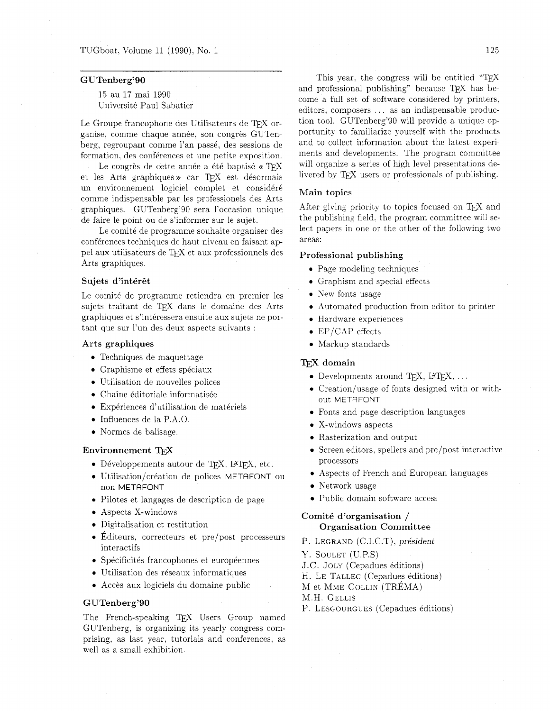## GUTenberg'90

15 au 17 mai 1990 Université Paul Sabatier

Le Groupe francophone des Utilisateurs de TFX organise, comme chaque année, son congrès GUTenberg, regroupant comme l'an passk. des sessions de formation, des conférences et une petite exposition.

Le congrès de cette année a été baptisé «  $T_F X$ et les Arts graphiques » car TFX est désormais un environnement logiciel complet et considéré comme indispensable par les professionels des Arts graphiques. GUTenberg'90 sera l'occasion unique de faire le point ou de s'informer sur le sujet.

Le comité de programme souhaite organiser des conférences techniques de haut niveau en faisant appel aux utilisateurs de TEX et aux professionnels des Arts graphiques.

## Sujets d'intérêt

Le comité de programme retiendra en premier les sujets traitant de TFX dans le domaine des Arts graphiques et s'intéressera ensuite aux sujets ne portant que sur l'un des deux aspects suivants :

#### Arts graphiques

- Techniques de maquettage
- Graphisme et effets spéciaux
- Utilisation de nouvelles polices
- $\bullet~$  Chaîne éditoriale informatisée
- Expériences d'utilisation de matériels
- Influences de la P.A.O.
- Normes de balisage.

#### Environnement TFX

- $\bullet$  Développements autour de TFX, IATFX, etc.
- Utilisation/cr6ation de polices METAFONT ou non METAFONT
- Pilotes et langages de description de page
- Aspects X-windows
- Digitalisation et restitution
- Éditeurs, correcteurs et pre/post processeurs interactifs
- Spécificités francophones et européennes
- $\bullet$  Utilisation des réseaux informatiques
- Accès aux logiciels du domaine public

## GUTenberg'90

The French-speaking TEX Users Group named GUTenberg, is organizing its yearly congress comprising, as last year, tutorials and conferences, as well as a small exhibition.

This year, the congress will be entitled "TFX" and professional publishing" because TFX has become a full set of software considered by printers. editors. composers ... as an indispensable production tool. GUTenberg'90 will provide a unique opportunity to familiarize yourself with the products and to collect information about the latest experiments and developments. The program committee will organize a series of high level presentations delivered by TFX users or professionals of publishing.

## Main topics

After giving priority to topics focused on TEX and the publishing field. the program committee will select papers in one or the other of the following two areas:

#### Professional publishing

- Page modeling techniques
- Graphism and special effects
- New fonts usage
- Automated production from editor to printer
- Hardware experiences
- EP/CAP effects
- Markup standards

#### TFX domain

- $\bullet$  Developments around T<sub>F</sub>X, L<sup>AT</sup>F<sub>X</sub>, ...
- Creation/usage of fonts designed with or without METAFONT
- Fonts and page description languages
- **0** X-windows aspects
- **0** Rasterization and output
- Screen editors, spellers and pre/post interactive processors
- **0** Aspects of French and European languages
- Network usage
- 0 Public domain software access

# Comit6 d'organisation / Organisation Committee

- P. LEGRAND (C.I.C.T), président
- Y. SOULET (U.P.S)
- J.C. JOLY (Cepadues éditions)
- H. LE TALLEC (Cepadues éditions)
- M et MME COLLIN (TREMA)

M.H. GELLIS

P. LESGOURGUES (Cepadues éditions)